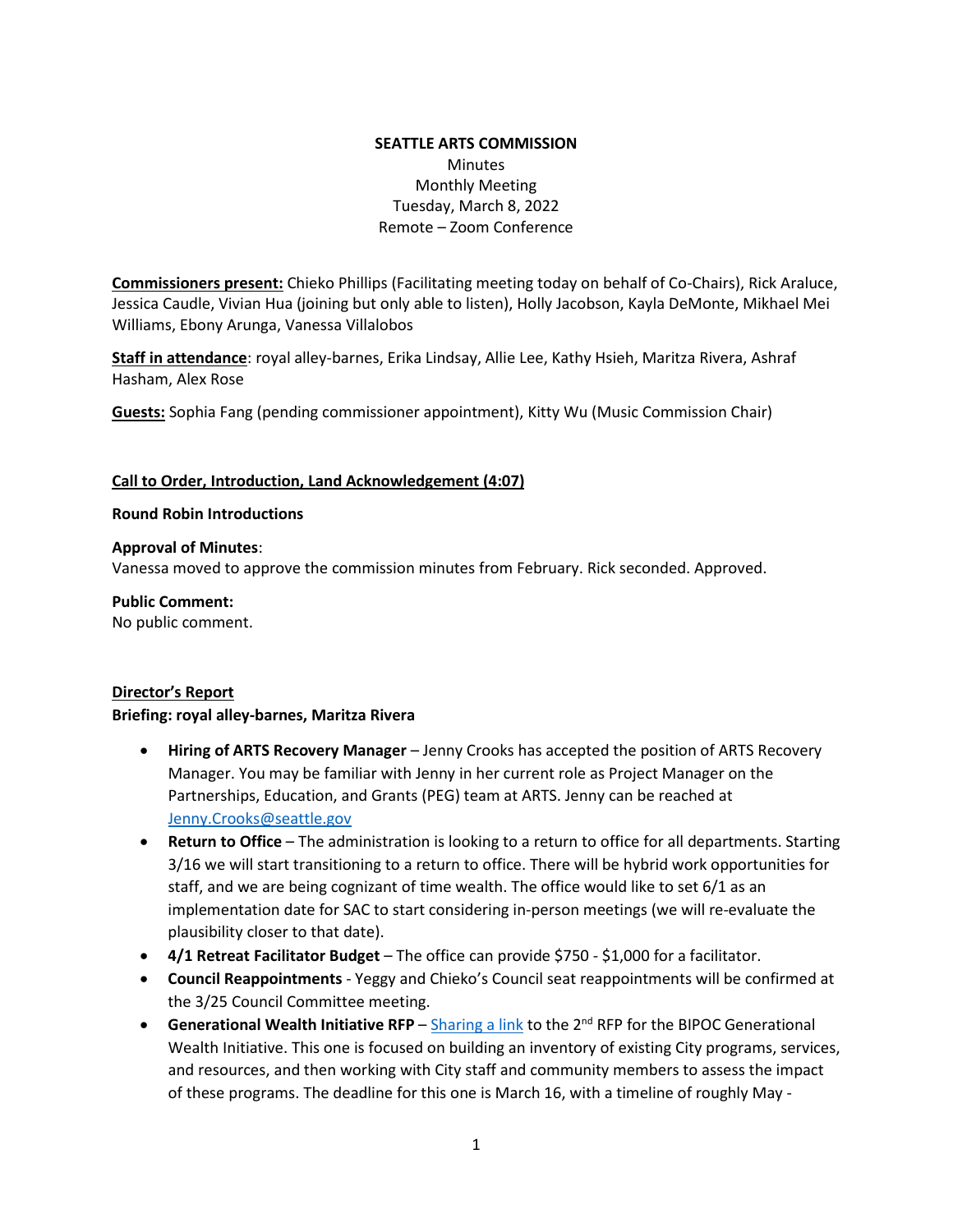### **SEATTLE ARTS COMMISSION**  Minutes Monthly Meeting Tuesday, March 8, 2022 Remote – Zoom Conference

**Commissioners present:** Chieko Phillips (Facilitating meeting today on behalf of Co-Chairs), Rick Araluce, Jessica Caudle, Vivian Hua (joining but only able to listen), Holly Jacobson, Kayla DeMonte, Mikhael Mei Williams, Ebony Arunga, Vanessa Villalobos

**Staff in attendance**: royal alley-barnes, Erika Lindsay, Allie Lee, Kathy Hsieh, Maritza Rivera, Ashraf Hasham, Alex Rose

**Guests:** Sophia Fang (pending commissioner appointment), Kitty Wu (Music Commission Chair)

#### **Call to Order, Introduction, Land Acknowledgement (4:07)**

#### **Round Robin Introductions**

#### **Approval of Minutes**:

Vanessa moved to approve the commission minutes from February. Rick seconded. Approved.

**Public Comment:** No public comment.

#### **Director's Report**

#### **Briefing: royal alley-barnes, Maritza Rivera**

- **Hiring of ARTS Recovery Manager** Jenny Crooks has accepted the position of ARTS Recovery Manager. You may be familiar with Jenny in her current role as Project Manager on the Partnerships, Education, and Grants (PEG) team at ARTS. Jenny can be reached at [Jenny.Crooks@seattle.gov](mailto:Jenny.Crooks@seattle.gov)
- **Return to Office** The administration is looking to a return to office for all departments. Starting 3/16 we will start transitioning to a return to office. There will be hybrid work opportunities for staff, and we are being cognizant of time wealth. The office would like to set 6/1 as an implementation date for SAC to start considering in-person meetings (we will re-evaluate the plausibility closer to that date).
- **4/1 Retreat Facilitator Budget** The office can provide \$750 \$1,000 for a facilitator.
- **Council Reappointments** Yeggy and Chieko's Council seat reappointments will be confirmed at the 3/25 Council Committee meeting.
- **Generational Wealth Initiative RFP** [Sharing a link](https://consultants.seattle.gov/index.php?s=DON) to the 2nd RFP for the BIPOC Generational Wealth Initiative. This one is focused on building an inventory of existing City programs, services, and resources, and then working with City staff and community members to assess the impact of these programs. The deadline for this one is March 16, with a timeline of roughly May -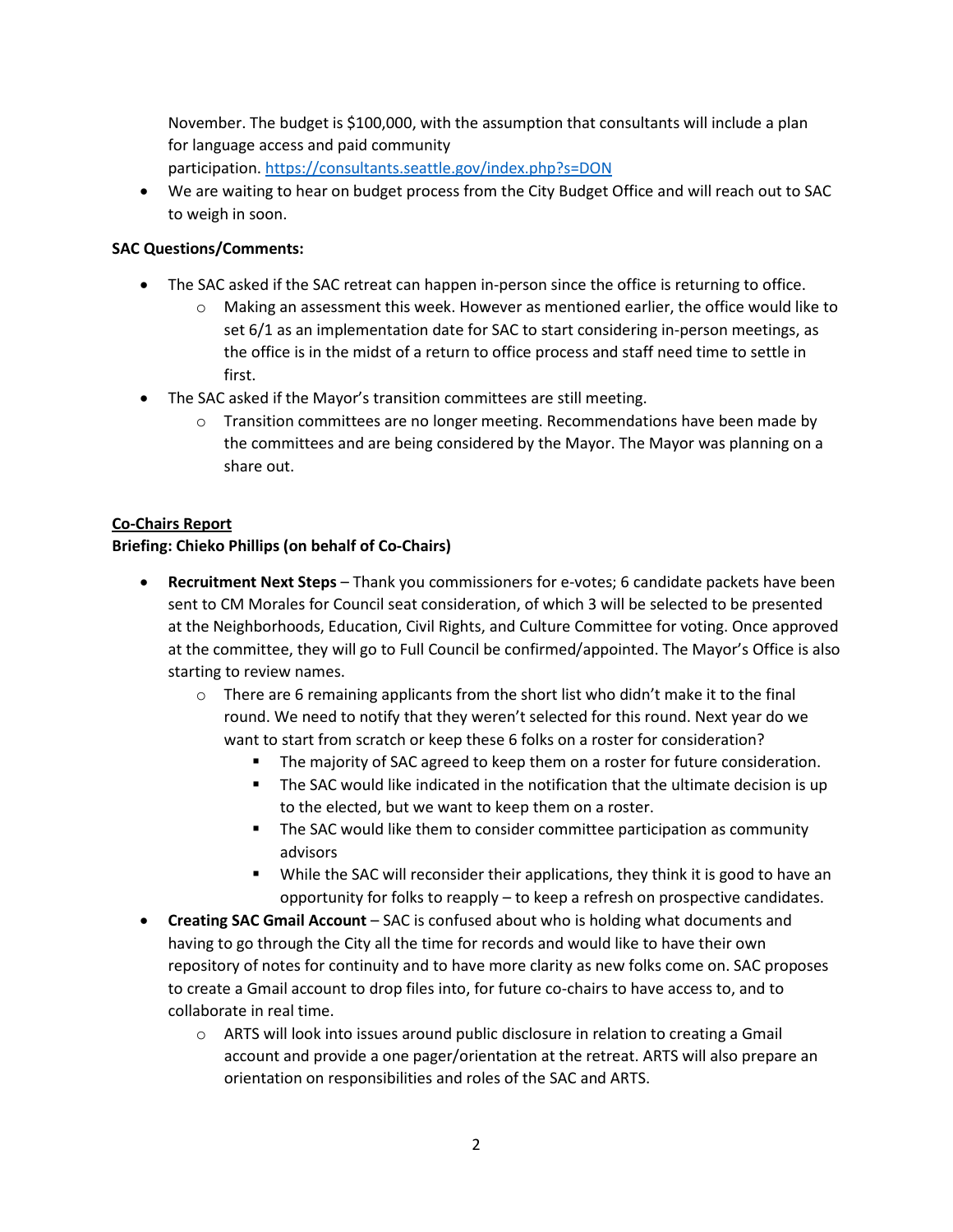November. The budget is \$100,000, with the assumption that consultants will include a plan for language access and paid community participation. <https://consultants.seattle.gov/index.php?s=DON>

• We are waiting to hear on budget process from the City Budget Office and will reach out to SAC to weigh in soon.

### **SAC Questions/Comments:**

- The SAC asked if the SAC retreat can happen in-person since the office is returning to office.
	- $\circ$  Making an assessment this week. However as mentioned earlier, the office would like to set 6/1 as an implementation date for SAC to start considering in-person meetings, as the office is in the midst of a return to office process and staff need time to settle in first.
- The SAC asked if the Mayor's transition committees are still meeting.
	- $\circ$  Transition committees are no longer meeting. Recommendations have been made by the committees and are being considered by the Mayor. The Mayor was planning on a share out.

### **Co-Chairs Report**

### **Briefing: Chieko Phillips (on behalf of Co-Chairs)**

- **Recruitment Next Steps** Thank you commissioners for e-votes; 6 candidate packets have been sent to CM Morales for Council seat consideration, of which 3 will be selected to be presented at the Neighborhoods, Education, Civil Rights, and Culture Committee for voting. Once approved at the committee, they will go to Full Council be confirmed/appointed. The Mayor's Office is also starting to review names.
	- $\circ$  There are 6 remaining applicants from the short list who didn't make it to the final round. We need to notify that they weren't selected for this round. Next year do we want to start from scratch or keep these 6 folks on a roster for consideration?
		- The majority of SAC agreed to keep them on a roster for future consideration.
		- The SAC would like indicated in the notification that the ultimate decision is up to the elected, but we want to keep them on a roster.
		- **The SAC would like them to consider committee participation as community** advisors
		- **While the SAC will reconsider their applications, they think it is good to have an** opportunity for folks to reapply – to keep a refresh on prospective candidates.
- **Creating SAC Gmail Account** SAC is confused about who is holding what documents and having to go through the City all the time for records and would like to have their own repository of notes for continuity and to have more clarity as new folks come on. SAC proposes to create a Gmail account to drop files into, for future co-chairs to have access to, and to collaborate in real time.
	- o ARTS will look into issues around public disclosure in relation to creating a Gmail account and provide a one pager/orientation at the retreat. ARTS will also prepare an orientation on responsibilities and roles of the SAC and ARTS.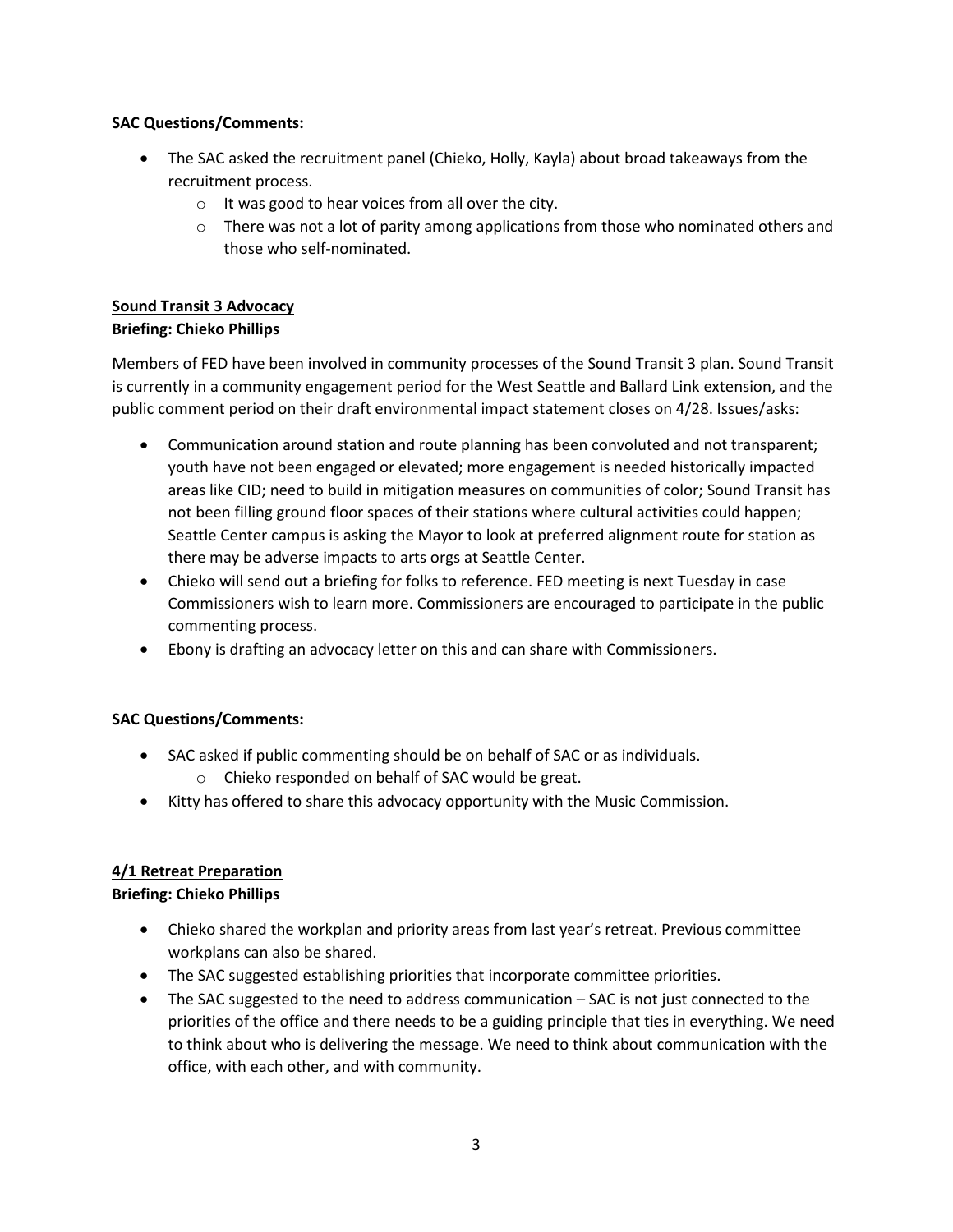### **SAC Questions/Comments:**

- The SAC asked the recruitment panel (Chieko, Holly, Kayla) about broad takeaways from the recruitment process.
	- o It was good to hear voices from all over the city.
	- $\circ$  There was not a lot of parity among applications from those who nominated others and those who self-nominated.

# **Sound Transit 3 Advocacy**

## **Briefing: Chieko Phillips**

Members of FED have been involved in community processes of the Sound Transit 3 plan. Sound Transit is currently in a community engagement period for the West Seattle and Ballard Link extension, and the public comment period on their draft environmental impact statement closes on 4/28. Issues/asks:

- Communication around station and route planning has been convoluted and not transparent; youth have not been engaged or elevated; more engagement is needed historically impacted areas like CID; need to build in mitigation measures on communities of color; Sound Transit has not been filling ground floor spaces of their stations where cultural activities could happen; Seattle Center campus is asking the Mayor to look at preferred alignment route for station as there may be adverse impacts to arts orgs at Seattle Center.
- Chieko will send out a briefing for folks to reference. FED meeting is next Tuesday in case Commissioners wish to learn more. Commissioners are encouraged to participate in the public commenting process.
- Ebony is drafting an advocacy letter on this and can share with Commissioners.

## **SAC Questions/Comments:**

- SAC asked if public commenting should be on behalf of SAC or as individuals.
	- o Chieko responded on behalf of SAC would be great.
- Kitty has offered to share this advocacy opportunity with the Music Commission.

## **4/1 Retreat Preparation**

## **Briefing: Chieko Phillips**

- Chieko shared the workplan and priority areas from last year's retreat. Previous committee workplans can also be shared.
- The SAC suggested establishing priorities that incorporate committee priorities.
- The SAC suggested to the need to address communication SAC is not just connected to the priorities of the office and there needs to be a guiding principle that ties in everything. We need to think about who is delivering the message. We need to think about communication with the office, with each other, and with community.